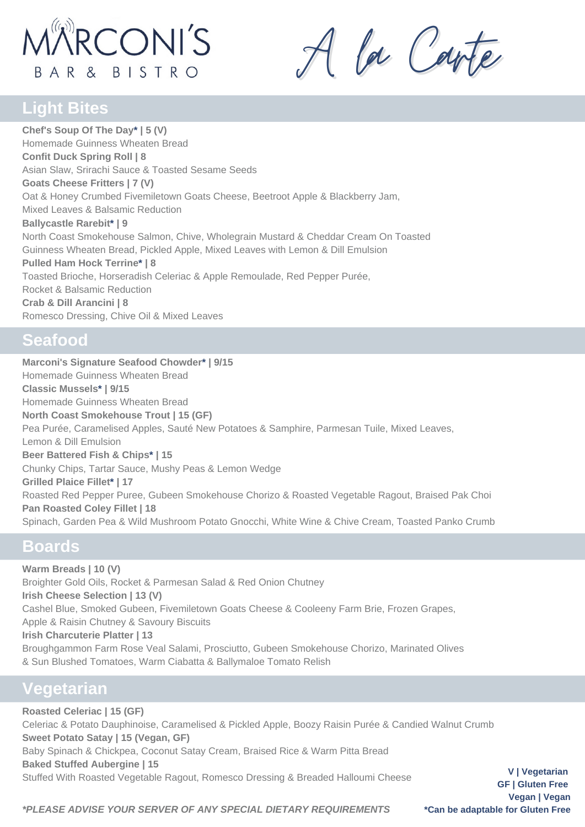# **MARCONI'S** BAR & BISTRO

A la Carte

# **Light Bites**

**Chef's Soup Of The Day\* | 5 (V)** Homemade Guinness Wheaten Bread **Confit Duck Spring Roll | 8** Asian Slaw, Srirachi Sauce & Toasted Sesame Seeds **Goats Cheese Fritters | 7 (V)** Oat & Honey Crumbed Fivemiletown Goats Cheese, Beetroot Apple & Blackberry Jam, Mixed Leaves & Balsamic Reduction **Ballycastle Rarebit\* | 9** North Coast Smokehouse Salmon, Chive, Wholegrain Mustard & Cheddar Cream On Toasted Guinness Wheaten Bread, Pickled Apple, Mixed Leaves with Lemon & Dill Emulsion **Pulled Ham Hock Terrine\* | 8** Toasted Brioche, Horseradish Celeriac & Apple Remoulade, Red Pepper Purée, Rocket & Balsamic Reduction **Crab & Dill Arancini | 8** Romesco Dressing, Chive Oil & Mixed Leaves

#### **Seafood**

**Marconi's Signature Seafood Chowder\* | 9/15** Homemade Guinness Wheaten Bread **Classic Mussels\* | 9/15** Homemade Guinness Wheaten Bread **North Coast Smokehouse Trout | 15 (GF)** Pea Purée, Caramelised Apples, Sauté New Potatoes & Samphire, Parmesan Tuile, Mixed Leaves, Lemon & Dill Emulsion **Beer Battered Fish & Chips\* | 15** Chunky Chips, Tartar Sauce, Mushy Peas & Lemon Wedge **Grilled Plaice Fillet\* | 17** Roasted Red Pepper Puree, Gubeen Smokehouse Chorizo & Roasted Vegetable Ragout, Braised Pak Choi **Pan Roasted Coley Fillet | 18** Spinach, Garden Pea & Wild Mushroom Potato Gnocchi, White Wine & Chive Cream, Toasted Panko Crumb

## **Boards**

**Warm Breads | 10 (V)** Broighter Gold Oils, Rocket & Parmesan Salad & Red Onion Chutney **Irish Cheese Selection | 13 (V)** Cashel Blue, Smoked Gubeen, Fivemiletown Goats Cheese & Cooleeny Farm Brie, Frozen Grapes, Apple & Raisin Chutney & Savoury Biscuits **Irish Charcuterie Platter | 13** Broughgammon Farm Rose Veal Salami, Prosciutto, Gubeen Smokehouse Chorizo, Marinated Olives & Sun Blushed Tomatoes, Warm Ciabatta & Ballymaloe Tomato Relish

# **Vegetarian**

**Roasted Celeriac | 15 (GF)** Celeriac & Potato Dauphinoise, Caramelised & Pickled Apple, Boozy Raisin Purée & Candied Walnut Crumb **Sweet Potato Satay | 15 (Vegan, GF)** Baby Spinach & Chickpea, Coconut Satay Cream, Braised Rice & Warm Pitta Bread **Baked Stuffed Aubergine | 15** Stuffed With Roasted Vegetable Ragout, Romesco Dressing & Breaded Halloumi Cheese

**V | Vegetarian GF | Gluten Free Vegan | Vegan**

*\*PLEASE ADVISE YOUR SERVER OF ANY SPECIAL DIETARY REQUIREMENTS* **\*Can be adaptable for Gluten Free**